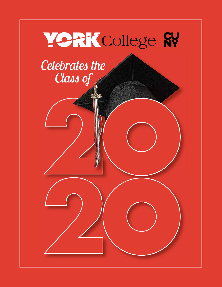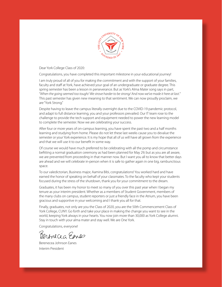

Dear York College Class of 2020:

Congratulations, you have completed this important milestone in your educational journey!

I am truly proud of all of you for making the commitment and with the support of your families, faculty and staff at York, have achieved your goal of an undergraduate or graduate degree. This spring semester has been a lesson in perseverance. But as York's Alma Mater song says in part, "When the going seemed too tough/ We strove harder to be strong/ And now we've made it here at last." This past semester has given new meaning to that sentiment. We can now proudly proclaim, we are "York Strong."

Despite having to leave the campus literally overnight due to the COVID-19 pandemic protocol, and adapt to full distance learning, you and your professors prevailed. Our IT team rose to the challenge to provide the tech support and equipment needed to power the new learning model to complete the semester. Now we are celebrating your success.

After four or more years of on-campus learning, you have spent the past two and a half months learning and studying from home. Please do not let these last weeks cause you to devalue the semester or your York experience. It is my hope that all of us will have all grown from the experience and that we will use it to our benefit in some way.

Of course we would have much preferred to be celebrating with all the pomp and circumstance befitting a normal graduation ceremony as had been planned for May 29; but as you are all aware, we are prevented from proceeding in that manner now. But I want you all to know that better days are ahead and we will celebrate in-person when it is safe to gather again in one big, rambunctious space.

To our valedictorian, Business major, Aamina Bibi, congratulations! You worked hard and have earned the honor of speaking on behalf of your classmates. To the faculty who kept your students focused during the stress of the shutdown, thank you for your commitment to the dream.

Graduates, it has been my honor to meet so many of you over this past year when I began my tenure as your interim president. Whether as a members of Student Government, members of the many clubs on campus, student reporters or just a friendly face in the Atrium, you have been gracious and supportive in your welcoming and I thank you all for that.

Finally, graduates, not only are you the Class of 2020, you are the 50th Commencement Class of York College, CUNY. Go forth and take your place in making the change you want to see in the world, keeping York always in your hearts. You now join more than 30,000 as York College alumni. Stay in touch with your alma mater and stay well. We are One York.

Congratulations, everyone!

Permicia Enes

Berenecea Johnson Eanes Interim President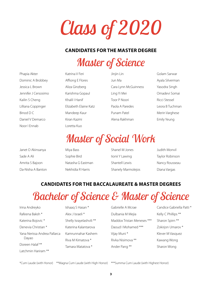*Class of 2020*

#### **CANDIDATES FOR THE MASTER DEGREE**

*Master of Science*

| Phapia Akter         |
|----------------------|
| Dominic A Brobbey    |
| Jessica L Brown      |
| Jennifer J Cersosimo |
| Kailin S Cheng       |
| Lilliana Coppinger   |
| Binod D C            |
| Daniel V Demarco     |
| Noor I Ennab         |

Katrina V Feri Affiong E Flores Aliza Ginzberg Karishma Gopaul Khalil I Hanif Elizabeth Elaine Katz Mandeep Kaur Kiran Kazmi Loretta Kuo

Jinjin Lin Jun Ma Cara Lynn McGuinness Ling Yi Mei Toor P Noori Paola A Paredes Punam Patel Alena Rakhman

Golam Sarwar Ayala Silverman Yasodra Singh Omadevi Somai Ricci Stessel Leora B Tuchman Merin Varghese Emily Yeung

## *Master of Social Work*

Janet O Akinsanya Sade A Ali Amrita S Bajoon Da-Nisha A Banton Miya Bass Sophie Bird Natasha G Eastman Nekhidia R Harris

Shanel M Jones Iionii Y Lawing Shantell Lewis Shanely Marmolejos Judith Monvil Taylor Robinson Nancy Rousseau Diana Vargas

#### **CANDIDATES FOR THE BACCALAUREATE & MASTER DEGREES**

# *Bachelor of Science & Master of Science*

Irina Andreyko Rafeena Baksh \* Katerina Bojovic \* Denevia Christian \* Yana Nerissa Andrea Pallarca Dayao Doreen Halaf \*\* Latchmin Hariram \*\*

Ishaaq S Hasan \* Alex J Israeli \* Shelly Israyelashvili \*\* Katerina Kalantarova Kamrunnahar Kashem Riva M Kimatova \* Tamara Matatova \*

Gabrielle A Mcrae Dulbania M Mejia Maddox Tristan Meneses \*\*\* Daoud I Mohamed \*\*\* Vijay Muni \* Rivka Nisimova \*\* Ander Pang \*\*

Candice Gabriella Patti \* Kelly C Phillips \*\* Sharon Spirn \*\* Zokirjon Umarov \* Klever M Vasquez Kawang Wong Sharon Wong

\*Cum Laude (with Honor) \*\*Magna Cum Laude (with High Honor) \*\*\*Summa Cum Laude (with Highest Honor)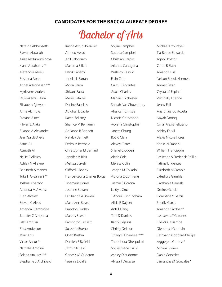#### **CANDIDATES FOR THE BACCALAUREATE DEGREE**

### *Bachelor of Arts*

Natasha Abbensetts Rawan Abdallah Aziza Abdumuminova Kiana Abrahams \*\* Alexandra Abreu Rosanna Abreu Angel Adegbesan \*\*\* Myrlevens Adrien Oluwakemi E Aina Elizabeth Ajewole Anna Akimova Farzana Akter Rilwan E Alaka Brianna A Alexandre Jean Gardy Alexis Asma Ali Asmoth Ali Nellie P Allaico Ashley N Alleyne Darlineth Almanzar Tuka F Al-Sahlani \*\* Joshua Alvarado Amanda M Alvarez Ruth Alvarez Steven C Alves Amanda R Ambroise Jennifer C Ampudia Eilat Amrussi Zora Anderson Marc Anis Victor Ansor \*\* Nathalie Antoine Selena Anzures \*\*\* Stephanie S Archibald

Karina Astudillo-Javier Ahmed Awad Anil Babooram Mariama S Bah Danik Banaby Jenelle L Barran Moon Barua Shivani Basra Merry Bataille Darline Bazelais Abighail L Bazile Karen Bellamy Shanice M Benjamin Adrianna B Bennett Natalya Bennett Pedro M Bermejo Christopher M Bernard Jennifer M Blair Melissa Blakely Clifford L Bonny France Kedna Charles Borga Tinamarie Borrell Jasmine Bowen La Shanda A Bowen Marla Ann Boyea Brandon Bradley Marcos Bravo Barrington Brissett Suzzette Bueno Onab Bushra Damien F Byfield Jazmin K Cain Genesis M Calderon Yesenia L Calle

Soyini Campbell Sudeca Campbell Christian Carpio Arianna Cartagena Wisleidy Castillo Elain Cen Cruz F Cervantes Grace Charles Marian Chichester Sharah Naz Chowdhury Alissica T Christie Nicosie Christophe Ackisha Christopher Janera Chung Rocio Clara Aleydy Claros Shariel Clouden Aleah Cole Melissa Colin Joseph M Collado Victoria C Contreras Jasmin S Corona Leidy L Cruz T'Andra Cunningham Alisia R Daljeet Anh T Dang Toni D Daniels Ranfy Dejesus Christy DeLeon Tiffany P Dhanbeer \*\*\* Theodhora Dhespollari Souleymane Diallo Ashley Dieudonne Alyssa J Ducasse

Michael Dzhurayev Tia-Renee Edwards Agho Ekhator Carrie R Elam Amanda Ellis Nelson Enodiakhemen Ahmet Erkan Crystal M Espinal Vansnally Etienne Jenny Exil Ana E Fajardo Acosta Nayab Farooq Omar Alexis Feliciano Ashley Fervil Alexis Nicole Flores Keniel N Francis William Francisque Leslieann S Frederick-Phillip Fatima L Fuentes Elizabeth N Gamble Lytesha S Gamble Darshanie Ganesh Desiree Garcia Florentina Y Garcia Sherlly Garcia Amanda Gardner \* Lashawna T Gardner Cheick Gassambe Djemima I Germain Kathyann Goddard-Phillips Arggelys J Gomez \* Miriam Gomez Dania Gonzalez Samantha M Gonzalez \*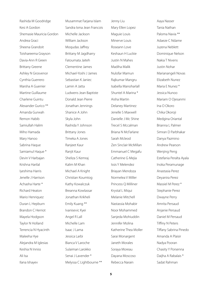Rashida M Goodridge Kesi A Gordon Shemasie Mauricia Gordon Andrea Graci Sheena Grandoit Toishareema Grayson Davia-Ann R Green Brittany Greene Ashley N Grosvenor Cynthia Guerrero Marsha A Guerrier Martine Guillaume Charlene Guintu Alexander Gurico \*\* Amanda Gurwah Remon Habib Samiullah Halim Miho Hamada Mary Hanoo Sabrina Haque Samiamul Haque \* Devin V Harbajan Krishna Harilal Iyeshima Harris Jenelle J Harrison Achasha Harte \* Richard Heaton Mario Henriquez Duran L Hepburn Brandon C Herriot Mayela Hodgson Taylor N Holland Terrencia N Hyacinth Maleeha Hye Alejandra M Iglesias Keshia N Inniss Ali Isa Ilana Ishayev

Musammat Farjana Islam Sandra Isma Jean Francois Michelle Jackson William Jackson Moqudas Jaffrey Brittany M Jagdharry Fatoumata Jaiteh Clementine James Michael-Yoshi J James Sebastian K Janiec Lamin A Jatta Ludwens Jean Baptiste Donald Jean Pierre Jonathan Jennings Shanice A John Skyla John Rashida Y Johnson Brittany Jones Timeka A Jones Ranjeet Kaur Ranjit Kaur Sheliza S Kemraj Kalim M Khan Michael A Knight Christian Koumtog Kathy Kowalczuk Breanna Kowlassar Jonathan Krikheli Emily Kuang \*\* Ivanisevic Kyei Angel R Lall Michelle Lam Isaac J Lama Jessica Larbi Bianca V Laroche Sulaiman Larokko Senai J Lavender \* Melyssa C Lightbourne \*\*

Jenny Liu Mary Ellen Lopez Maguie Louis Minerve Louis Roseann Love Keshaun H Luckie Justin N Mahes Madiha Malik Nulofar Mamun Rajkumar Mangru Isabella Manoharlall Shuntel A Marina \* Aisha Martin Delaney Martinez Jenelle S Maxwell Danielle J Mc Shine Trecel S Mccalman Briana N McFarlane Sarah Mcleod Zen Sinclair McMillan Emmanuel C Megafu Catherine G Mejia Issis Y Melendez Briayan Mendoza Normelea V Miller Princess Q Milliner Krystal L Miqui Melanie Mitchell Nastassia Mohabir Noor Mohammed Sanjeda Mohiuddin Jennifer Molina Katherine Thea Moller Sarai Monargent Janeth Morales Soraya Moreau Dayana Moscoso Rebecca Narain

Aaya Nasser Tania Nathan Paloma Navia \*\* Adaeze C Ndame Juzena Neblett Dominique Nelson Nakia T Nivens Justin Nohar Marianangeli Novas Elizabeth Nunez Maria E Nunez \* Jessica Nunoo Mariam O Ojesanmi Ina O Okoro Chika Okoroji Medgina Oriantal Brianna L Palmer Simran D Parbhakar Danya Pazmino Andrew Pearson Wenjing Peng Estefania Peralta Ayala Inoka Peramunage Anastasia Perez Deyanira Perez Massiel M Perez \* Stephanie Perez Dwayne Perry Amrita Persaud Anjanie Persaud Daniel M Persaud Tiffiny N Peters Tiffany Sabrina Pinedo Amanda A Plaisir Nadya Pooran Chasity Y Porsenna Daijha A Rabalais \* Sadat Rahman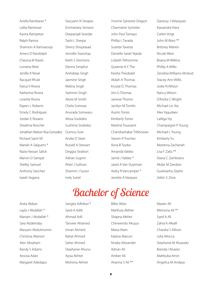Ariella Rambaran \* Lalita Ramessar Kavita Ramjattan Ralph Ramos Shannon A Ramsaroop Amevi D Randolph Cheona M Rawls Lorraine Reid Jenifer K Resal Racquel Rhule Fairuz V Rivera Katherine Rivera Lissette Rivera Rajeev L Roberts Emely C Rodriguez Jordan E Rosario Sheahna Roscher Jonathan Nelson Rua Gonzalez Richard Saint-Vil Mariah A Salguero \* Razia Hassan Salick Marvin D Sampal Shelby Samuel Anthony Sanchez Isaiah Segarra

Stacyann N Serapio Emmariany Serrano Deepanjali Sewdat Tashi L Sherpa Sherry Shivprasad Jennifer Siavichay Keith S Simmons Derina Simplice Arshdeep Singh Jasmine Singh Melina Singh Yashmin Singh Alexis M Smith Chelsi Somwar Anurada Somwaru Alissa Sookdeo Sushima Sookdeo Oumou Sow Andre D Steer Russell A Stewart Deggra Stratton Adrian Sugrim Peter J Sullivan Sharmin J Suravi Ively Suriel

Yvonne Sylvestre Dragon Charmaine Symister John Paul Tamayo Phillip L Tavada Susette Taveras Danielle Sarah Tejeda Lisbeth Telhomme Queenie K.Y. The Keisha Theobald Akilah A Thomas Krystal D. Thomas Vini G Thomas Jamese Thorne Jacklyn M Tomlin Austin Torres Kimberly Torres Masline Toussaint Chandrashakar Tribhowan Steven R Trochez Ilona B Tyszko Amanda Valdez Jamie J Valdez \* Jared A Van Sluytman Asdry R Vancamper \* Janette A Vazquez

Danessy J Velasquez Kassandra Viera Carlen Voigt John M Wani \*\* Brittney Warren Nicole West Briana M Wilkins Phillip A Wilks Zenobia Williams-Mcleod Stacey-Ann Willis Jodie N Wilson Nancy Wilson D'Andra C Wright Michael Lin Xia Alex Yagudaev LaiNga Yip Champaigne P Young Michael L Young Kimberly Yu Mereena Zachariah Lisa F Zaltz \*\* Diana C Zambrano Akdar M Zandani Guielsiarha Zephir Zebin S Zinia

## *Bachelor of Science*

Anita Abban Layla J Abdallah \* Mariam J Abdallah \* Sara Abdelnaby Maryam Abdulmumin Christina Aberion Alen Abraham Randy S Adams Aroosa Adan Margaret Adedapo

Sangita Adhikari \* Syed A Adib Ahmad Adil Tanveer Ahamed Imran Ahmed Rahat Ahmed Saher Ahmed Stephanie Ahunu Aysia Akhter Mohsina Akhter

Bilkis Akter Mahfuza Akther Shapna Akther Chinwendu Akujuo Maisa Alam Kalana Alarcon Nneka Alexander Adnan Ali Amber Ali Arianna S Ali \*\*

Master Ali Memona Ali \*\* Syed A Ali Zahra K Alkaifi Chanika S Allison Julia Allocca Stephanie M Alvarado Brenda I Alvarez Mahbuba Amin Angelica M Andaya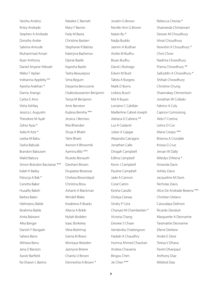Yarisha Andino Kristy Andrade Stephen A Andrade Dorothy Andre Sabrina Anirude Muhammad Ansari Ryan Anthony Daniel Anyane-Yeboah Nikko T Apilan Indrianna Appleby \*\* Ayesha Arakhan \* Danny Arango Carlos E Arce Visha Ashfaq Jessica L Augustin Theodore M Ayah Zahra Ayaz \* Aalia N Aziz \* Leeba M Babu Sasha Babulal Brandon Baburam Walid Babury Simon Brandon Bactawar \*\*\* Kalah K Bailey Patrycja A Bak \* Canetta Baker Huzaifiy Baksh Barbra Balan Halimatou Balde Ibrahima Balde Anita Balwant Alka Bangar Danish F Bangash Sahera Bano Akhtara Banu Jana D Banzon Xavier Barfield Ra-Shawn L Barino

Natalee C Barnett Mary F Barron Fady M Basta Christine Bastien Stephanie R Batista Kateryna Bazhenov Djenie Bazile Kayesha Bazile Tasha Beausejour Sima Begum Deyanira Bencosme Osakioduwamen Benjamin Tanya M Benjamin Amir Benston Kujtesa Berisha \*\*\* Jessica J Bermeo Rita Bhandari Shuja A Bhatti Tahir Bhatti Awnon K Bhowmik Aamina Bibi \*\*\* Ricardo Bisnauth Darshani Bisram Drupatee Bissessar Chelsea Bissondayal Christina Bissu Ashanti A Blackman Windell Blake Kwabena A Boadu Aliecia A Bobb Nyliah Bodden Isaac Borketey Vlera Brahimaj Gema M Bravo Monique Breeden Jazmyne Brierre Chanta U Brown Denneshia A Brown \*

Jovahn G Brown Neville-Ann G Brown Natan Bu \* Nadja Buddo Jasmin A Budhan Andre M Budhu Bryan Budhu David J Buitrago Edwin M Burd Tabita A Burgess Malik D Burns Leilany Busch Md A Buyan Lorraine C Cabillan Maillerline Cabral-Joseph Adriana D Cabrera \*\* Luz A Cadavid Julian A Cajigas Alejandra Calcagno Jonathan Calle Dinajah Campbell Edlina Campbell Kevin J Campbell Pauline Campbell Jade A Cannon Coral Castro Keisha Catulle Orokya Ceesay Sindry P Cera Chanyez M Chamberlain \* Victoria Chang Desiree S Chase Vandevika Chattergoon Hadiah A Chaudhry Humna Ahmed Chauhan Andrea Chavarria Bingxu Chen Jie Chen \*\*\*

Rebecca Cheriza \* Shameeda Chintamani Dewan M Choudhury Ishrat Choudhury Nowshin K Choudhury \* Chris Chow Nadima Chowdhury Prama Chowdhury \*\* Saifuddin A Chowdhury \* Shihab Chowdhury Christine Chung Shawnakay Clementson Jonathan W Collado Fabrice A Coly Caprice Comissiong Aldo F Cotrina Letice D Cox Maria Crespo \*\*\* Brianna A Crosdale Krissia G Cruz Jeroan W Dally Miledys D'Atena \* Amanda Davis Ashley Davis Jacqueline M Davis Nicholas Davis Alice De Andrade Bezerra \*\*\* Christian Delano Caroudaya Delinois Ricardo Deodutt Marguerite A Deonarine Taramattie Deonarine Ellene Derbew Andre E Desir Teresa V Dhana Pavitri Dhanpaul Anthony Diaz Mildred Diaz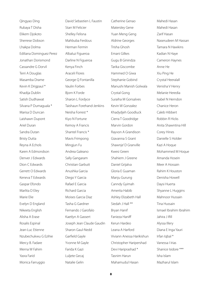Qingyao Ding Rubaya T Disha Elikem Djokoto Sherrese Dobson Lhakpa Dolma Ediliana Dominguez Perez Jonathan Dorismond Cassandre G Dorvil Terri A Douglas Masamba Drame Kevin K Drigpaul \* Khadija Dublin Satish Dudhawat Silvana P Dumaguala \* Marisa D Duncan Laishawn Dupont Ariel Duran Sandra Dutan Bristy Dutta Reyna A Echols Karen A Edmondson Denver J Edwards Dion C Edwards Gerrett O Edwards Keneva T Edwards Gaspar Efondo Marlita D Eley Marie Elie Evelyn D England Nikeeta English Alisha A Erase Rosalis Espinal Jean-Luc Etienne Nzubechukwu G Ezihie Mercy B. Fadare Merna W Fahim Yasra Farid Monica Farruggio

David Sebastien L Faustin Starr M Felicier Shelley Felisna Mahbuba Ferdous Herman Fermin Albaluz Figueroa Darline N Figueroa Kenya Finch Araceli Flores George Q Fontanilla Vaulin Forbes Bjorn K Forde Sharon L Fordyce Taishaun Forehand-Jenkins Neisha Forrest \* Kiyo N Fortune Kemoy A Francis Shantel Francis \* Mavis Frimpong Mingjun Fu Andrea Galeano Sally Gangaram Christian Garbutt Anushka Garcia Diego Y Garcia Rafael E Garcia Richard Garcia Moises Garcia Diaz Tasha G Gardner Fernando J Garofalo Kaetlyn A Gassert Joseph Jean Claude Gaudin Sharon Gaul-Nedd Garfield Gayle Yvonne M Gayle Farida K Gazi Luljete Gecaj Natalie Gelin

Catherine Genao Matersley Gene Yuan Meng Geng Aldrine Georges Trisha Ghosh Emani Gilkes Gugu B Ginindza Tarika Giscombe Hammed O Giwa Stephanie Gobind Manushi Manish Golwala Crystal Gong Suraiha M Gonsalves Kevin W Gonzalez Khadydjeh Goodluck Cierra T Goodridge Marvin Gordon Rayvon A Grandison Giavanna S Grant Shawnje' D Granville Kwesi Green Shahiem J Greene Daniel Grijalva Gloria E Guaman Manju Gurung Canndy Gyimah Amerita Habib Ashley Elizabeth Hall Siedah J Hall \*\* Bryan Hanif Fanieza Haniff Kerun Hardeo Leana A Harford Viviann Anessa Harikishun Christopher Haripershad Devi Hariprashad \* Tasnim Harun Mahamudul Hasan

Mahedi Hasan Mahedi Hasan Zarif Hasan Naserudeen M Hassan Tamara N Hawkins Kadian N Haye Cameron Haynes Anne He Xiu Ping He Crystal Heeralall Venisha V Henry Melanie Heredia Isabel N Herndon Chanice Heron Caleb Hibbert Robbin R Hicks Anita Shawntina Hill Corey Hines Danielle S Holder Kazi A Hoque Mohammed M Hoque Amanda Hosein Meer A Hossain Rahim K Houston Denisha Howell Daysi Huerta Shyanne L Huggins Mahnoor Hussain Tina Hussain Ismael Ibrahim Ibrahim Jahira J Ifill Alyssa Illery Diana E Inga Yauri Irfan Iqbal \* Vanessa I Irias Shanice Isidore \*\*\* Isha Islam Mazharul Islam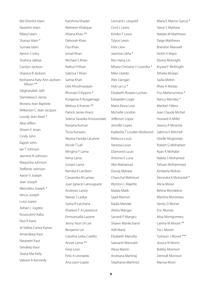Md Shoriful Islam Nawshin Islam Rifatul Islam Shanaz Islam \* Sumaia Islam Aerion S Ivery Shahina Jabbar Carolyn Jackson Shanice B Jackson Keshawna Katy-Ann Jackson Allison \*\* Sibghatullah Jalili Stanislawa E Jarosz Morana Jean Baptiste Wilkerson C Jean Jacques Lourdji Jean-Noel \* Akia Jeffers Shieen E Jesan Cindy John Rajesh John Ian T Johnson Jasmine N Johnson Maquisha Johnson Steffanie Johnson Aaron V Joseph Jean Joseph Mercidieu Joseph \* Venus Joseph Luna Juarez Adrian L Jugdeo Kouroutimi Kaba Paul R Kane Je Valliea Cariea Karran Amandeep Kaur Navpreet Kaur Sandeep Kaur Seana Mai Kelly Valesse A Kennedy

Karishma Khader Mehreen Khalique Afzana Khan \*\* Deborah Khan Fiza Khan Ismail Khan Michael S Khan Rathul H Khan Sabrina T Khan Samia Khan Deo Khushnarayan Rhonda O Kippins \* Kosgama A Kosgamage Melissa A Kramer \*\* Patrick James Kranz Selena Swastka Krissoondatt Ranjana Kumari Tricia Kutwaru Neyssa Faradja LaLanne Nicole T Lall Mingma Y Lama Nima Lama Sonam Lama Ramika K Lambert Cassandra M Lamey Juan Ignacio Lanouguere Andrews Lartey Nawaz S Laskar Sasha R Latchana Khareen F A Lawrence Emmanuella Lazarre Jenny Yeon Sil Lee Benjamin Lei Carolina Leiba Castillo Annet Lema \*\* Feria Leon Felix A Leonardo Ana Leon-Lopez

Leonard L Leopold Cecil L Lewis Kimiko T Lewis Tylyce Lewis Felix Liew Jasmine Likha \* Ren Hang Lin Mhariz Christine Y Lisondra \* Mike Litardo Alex Llangari Hok Lai Lo \* Elizabeth Rosario Lochan Edwarden Logie Maria Elena Loizi Michelle London Jefferson Lopez Jennifer Lopez Kadiesha T Louden-Redwood Rebecca Louis Vanessa Louis Diamond Lucas Antonio E Luna Abir Mahamud Devraj Mahase Chanchal Mahmud Wynton L Majette Malala Malik Saad Mamun Nadia Mandat Alisha Mangar Sarvedi P Mangru Shawn Manikchand Adil Manji Elizabeth Mansilla Satwanti Mansukh Alexa Martin Andriana Martinaj Stephanie Martinez

Maria E Martos Garcia \* Steve S Mathew Natalie M Matthews Paige Matthews Brandon Maxwell Vickhi V Mayo Ebony Mcknight Krystal F McKnight Athalia Mclean Sadia Mebin Rhea A Medas Fnu Meherunnesa \* Nancy Mendez \* Maribel J Mero Jean Claude Michel Howard A Miller Jessica A Miranda Sabrina V Mitchell Giselle Mogrovejo Robert G Mohabeer Ryan K Mohabir Nabila S Mohamed Fahzan Mohammad Kimberly Mohan Devindra K Mohanlall \* Alicia Moise Betina Mondelice Martine Monereau Vanity D Monet Eric Monsia Alisa Montgomery Latima M Moore \*\* Tia L Moore Tyshaun J Moore \*\*\* Jessica N Morris Bobby Morrison Demrall Morrison Marwa Morsi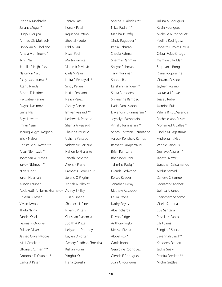Syeda N Moshreba Juliana Muga \*\*\* Hugo A Mujica Ahmad Zia Muktadir Donovan Mulholland Amela Muminovic \* Tyn T Nai Jenelle A Najhafeez Najumun Naju Ricky Nandkumar \* Atanu Nandy Amrita D Narine Raywatee Narine Fayyoz Nasimov Sierra Nasir Aliya Navarro Imran Nazir Tsering Yugyal Negoen Eric K Nelson Christelle M. Nestor \*\* Artur Niemczyk \*\* Jonathan W Nieves Yakov Nisimov \*\*\* Niger Noor Sarah Nuamah Allison I Nunez Abdukodir A Nurmakhamatov Ashley J Pillay Chiedu D Nwani Vivian Nwoke Thuta Nyinyi Sandra Okeke Ifeoma N Okigwe Eulalee Oliver Jashad Oliver-Moore Ivie I Omokaro Eltoma E Osman \*\*\* Omobola D Osunleti \* Carlos A Pasan

Janam Patel Konark Patel Kojuanda Patrick Sheetal Paudel Edd A Paul Hazel Paul Martin Pavlicek Vladimir Pavlovic Carla V Pean Lalita P Pearaylall \* Sindy Pelaez Nikita Peniston Neliza Perez Ashley Persad Ishwar Persaud \*\* Keshwar K Persaud Shania A Persaud Thalisha Persaud Ushana Persaud Vishwanie Persaud Nahomie Phalante Janeth Pichardo Alexis K Pierre Ramcess Pierre-Louis Selene O Pilgrim Anisah A Pillay \*\* Julian Pineda Shaniece L Pines Niyah E Pitters Christian Plasencia Judith A Plaza Kellyann L Pompey Baylen D Porter Sweety Pradhan Shrestha Kishan Puran Xinghui Qiu \* Hena Qureshi

Sharna R Rabidas \*\*\* Nikta Radfar \*\* Madiha Jr Rafiq Cindy Ragubeer \* Papia Rahman Shadia Rahman Sharmin Rahman Shayor Rahman Tanvir Rahman Sophin Rai Lakshmi Ramdeen \* Sarita Ramdeen Shivnarine Ramdeo Lydia Ramkissoon Davendra K Ramnarain \* Joycelyn Ramnarain Vimal S Ramnarain \*\* Sandy Chitranie Ramnarine Aaroux Kenshaw Ramos Balwant Rampersaud Brian Ramsarran Bhapinder Rani Tahmina Raziq \* Evanda Redwood Kelsey Reeder Jonathan Remy Mathew Restrepo Laura Reyes Nathy Reyes Abe Richards Devon Ridge Anthony Rigby Melissa Rivera Abdel Rizk \* Garth Robb Geraldine Rodriguez Glenda E Rodriguez Juan A Rodriguez

Julissa A Rodriguez Kevin Rodriguez Michelle A Rodriguez Paulina Rodriguez Roberth E Rojas Davila Cristal Rojas-Ortega Yasmine B Roldan Stephanie Rong Riana Roopnarine Giovana Rosado Jayleen Rosario Nastacia J Rowe Jesse J Rubel Jasmine Ruiz Valeria R Ruiz Valencia Rachelle-ann Russell Mohamed A Saffee \* Giselle M Sagastume Andre Saint Fleur Winnie Saintilus Gustavo A Salas \*\* Janett Salazar Jonathan Saldamando Abdus Samad Zanette C Samuel Leonardo Sanchez Joshua A Sanes Lhencham Sangmo Gisele Santana Luis Santana Priscila N Santos Elli J Sares Sangita R Sarkar Savannah Sarol \*\* Khadeen Scarlett Jackie Sealy Pranita Seedath \*\* Michel Settles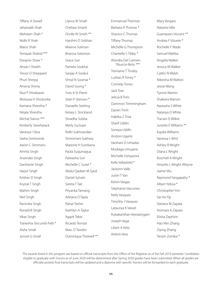Tiffany A Sewell Jahanzaib Shah Mehreen Shah \* Nidhi R Shah Waice Shah Temazat Shahid \*\*\* Dwayne Shaw \* Ahsan I Sheikh Trevor O Sheppard Phuri Sherpa Amena Shima Paul P Shiwbaran Ifeoluwa H Shodunke Kamana Shrestha \* Nirjala Shrestha Michal Sianov \*\*\* Kimberly Siewharack Vanessa I Silva Sasha Simmonds Aaron C Simmons Amrita Singh Arwinder Singh Darshanie Singh Harjot Singh Krishav D Singh Krystal T Singh Mahim Singh Neil Singh Ravindra Singh Ronald B Singh Vikas Singh Tianeshia Slocumb-Fells \* Aisha Small Jonnel G Small

Llanos W Small Chelsea Smartt Orville W Smith \*\* Harshini D Sobhan Marena Soliman Brianna Solomon Grace Son Pamela Sookhai Sanjay A Sookul Vimal N Soomai \* David Soong \* Yves A St Pierre Sean P Stenson \* Danaelle Sterling Kelsey L Strickland Shradha Subba Merly Suclupe Ridhi Sukhnandan Shriromani Sukhwa Marjorie H Sumbana Paola Suquinagua Palwasha Suri Michelle C Suriel \* Abdul Qadeer M Syed Daniel Sylvain Sereta T Tait Priyanka Tamang Adriana O Tapia Rahat Tashin Kaithlyn A Taylor Agazit Tekie Ricardo Ternize Marc D Texidor Dominique Thelwell \*\* Emmanuel Thernize Barbara A Thomas \* Shanice C Thomas Tiffany Thomas Michelle G Thompson Chantelle S Tibby \* Alondra Del Carmen Tiburcio-Brito \*\*\* Tremaine T Tinsley Lushan R Toney \* Crismely Torres Jack Tran Jelicia B Trim Dammon Trimmingham Darien Trinh Habiba Z Trisa Sharif Uddin Soneya Uddin Andoni Ugarte Varshani D Umadas Mudiaga Umujane Michelle Ushyarova Kelly Valladolid \* Jackorin Valle Justin T Van Kelvin Vargas Stephanie Vasconez Nelly Vasquez Timothy J Vasquez Lataunya K Vassel Rubakanthan Veerasingam Joseph Vega Libert A Veliz

Mary Vergara Natasha Villa Guempsen Vincent \*\* Andrea F Vizuete \* Rochelle F Wade Samuel Wahba Angella Walker Jessica M Walker Caitlin N Walsh Nikeisha M Walton Jessie Wang Tyrone Warren Shakiera Watson Nastasha S White Natanya D White Tracian D Wilkie Junette E Williams \*\* Kaydia Williams Vanessa L Wint Ashley R Wright Diana L Wright Roschell A Wright Amarilis L Wright Alleyne Jiamei Wu Raymond Yangapatty \* Albert Yeboa \* Christopher Yim Sai Ho Yip Dariana M Zapata Xiomara A Zapata Elisha Zephirin Hao Min Zhang Ziying Zhang Tenzin Zomkyi \*

The awards listed in this program are based on official transcripts from the Office of the Registrar as of the Fall 2019 semester. Candidates eligible to graduate with honors as of June 2020 will be determined after Spring 2020 grades have been submitted. When all grades are officially posted, final transcripts will be updated and a diploma with specific honors will be forwarded to each graduate.

Arlenis Vera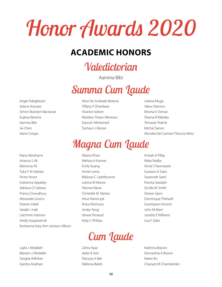# *Honor Awards 2020*

### **ACADEMIC HONORS**

### *Valedictorian*

Aamina Bibi

# *Summa Cum Laude*

Angel Adegbesan Selena Anzures Simon Brandon Bactawar Kujtesa Berisha Aamina Bibi Jie Chen Maria Crespo

Kiana Abrahams Arianna S Ali Memona Ali Tuka F Al-Sahlani Victor Ansor Indrianna Appleby Adriana D Cabrera Prama Chowdhury Alexander Gurico Doreen Halaf Siedah J Hall Latchmin Hariram Shelly Israyelashvili Keshawna Katy-Ann Jackson Allison

Layla J Abdallah Mariam J Abdallah Sangita Adhikari Ayesha Arakhan

- Alice De Andrade Bezerra Tiffany P Dhanbeer Shanice Isidore Maddox Tristan Meneses Daoud I Mohamed Tyshaun J Moore
- Juliana Muga Yakov Nisimov Eltoma E Osman Sharna R Rabidas Temazat Shahid Michal Sianov Alondra Del Carmen Tiburcio-Brito

### *Magna Cum Laude*

- Afzana Khan Melissa A Kramer Emily Kuang Annet Lema Melyssa C Lightbourne Latima M Moore Paloma Navia Christelle M. Nestor Artur Niemczyk Rivka Nisimova Ander Pang Ishwar Persaud Kelly C Phillips
- Anisah A Pillay Nikta Radfar Vimal S Ramnarain Gustavo A Salas Savannah Sarol Pranita Seedath Orville W Smith Sharon Spirn Dominique Thelwell Guempsen Vincent John M Wani Junette E Williams Lisa F Zaltz

# *Cum Laude*

Zahra Ayaz Aalia N Aziz Patrycja A Bak Rafeena Baksh Katerina Bojovic Denneshia A Brown Natan Bu Chanyez M Chamberlain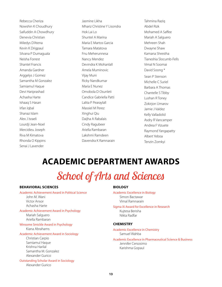Rebecca Cheriza Nowshin K Choudhury Saifuddin A Chowdhury Denevia Christian Miledys D'Atena Kevin K Drigpaul Silvana P Dumaguala Neisha Forrest Shantel Francis Amanda Gardner Arggelys J Gomez Samantha M Gonzalez Samiamul Haque Devi Hariprashad Achasha Harte Ishaaq S Hasan Irfan Iqbal Shanaz Islam Alex J Israeli Lourdji Jean-Noel Mercidieu Joseph Riva M Kimatova Rhonda O Kippins Senai J Lavender

Jasmine Likha Mhariz Christine Y Lisondra Hok Lai Lo Shuntel A Marina Maria E Martos Garcia Tamara Matatova Fnu Meherunnesa Nancy Mendez Devindra K Mohanlall Amela Muminovic Vijay Muni Ricky Nandkumar Maria E Nunez Omobola D Osunleti Candice Gabriella Patti Lalita P Pearaylall Massiel M Perez Xinghui Qiu Daijha A Rabalais Cindy Ragubeer Ariella Rambaran Lakshmi Ramdeen Davendra K Ramnarain

Tahmina Raziq Abdel Rizk Mohamed A Saffee Mariah A Salguero Mehreen Shah Dwayne Shaw Kamana Shrestha Tianeshia Slocumb-Fells Vimal N Soomai David Soong \* Sean P Stenson Michelle C Suriel Barbara A Thomas Chantelle S Tibby Lushan R Toney Zokirjon Umarov Jamie J Valdez Kelly Valladolid Asdry R Vancamper Andrea F Vizuete Raymond Yangapatty Albert Yeboa Tenzin Zomkyi

### **ACADEMIC DEPARTMENT AWARDS**

# *School of Arts and Sciences*

#### **BEHAVIORAL SCIENCES**

#### Academic Achievement Award in Political Science

John M. Wani Victor Ansor Achasha Harte

#### Academic Achievement Award in Psychology Mariah Salguero

Ariella Rambaran

#### Winsome Smickle Award in Psychology Kiana Abrahams

#### Academic Achievement Award in Sociology

Christian Carpio Samiamul Haque Krishna Harilal Samantha M. Gonzalez Alexander Gurico

#### Outstanding Scholar Award in Sociology

Alexander Gurico

#### **BIOLOGY**

Academic Excellence in Biology Simon Bactawar Vimal Ramnarain

#### Sigma Xi Award for Excellence in Research Kujtesa Berisha Nikta Radfar

#### **CHEMISTRY**

Academic Excellence in Chemistry Samuel Wahba

Academic Excellence in Pharmaceutical Science & Business Jennifer Cersosimo Karishma Gopaul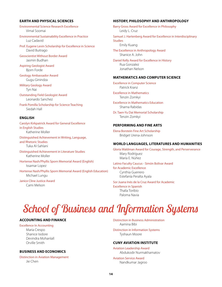#### **EARTH AND PHYSICAL SCIENCES**

Environmental Science Research Excellence Vimal Soomai

Environmental Sustainability Excellence in Practice Luz Cadavid

Prof. Eugene Levin Scholarship for Excellence in Science David Buitrago

Geoscientist Without Border Award Jasmin Budhan

Aspiring Geologist Award Bjorn Forde

Geology Ambassador Award Gugu Ginindza

Military Geology Award Tyn Nai

Outstanding Field Geologist Award Leonardo Sanchez

Frank Pomilla Scholarship for Science Teaching Siedah Hall

#### **ENGLISH**

Carolyn Kirkpatrick Award for General Excellence in English Studies Katherine Moller

Distinguished Achievement in Writing, Language, and Rhetoric Studies Tuka Al-Sahlani

Distinguished Achievement in Literature Studies Katherine Moller

Hortense Nash/Phyllis Sporn Memorial Award (English) Issamar Lopez

Hortense Nash/Phyllis Sporn Memorial Award (English Education) Michael Lungu

Janice Cline Justice Award Cami Melson

#### **HISTORY, PHILOSOPHY AND ANTHROPOLOGY**

Barry Gross Award for Excellence in Philosophy Leidy L. Cruz Samuel J. Hartenberg Award for Excellence in Interdisciplinary **Studies** Emily Kuang

The Excellence in Anthropology Award Shanice A. John

Daniel Kelly Award for Excellence in History Rua Gonzalez Jonathan Nelson

#### **MATHEMATICS AND COMPUTER SCIENCE**

Excellence in Computer Science Patrick Kranz

Excellence in Mathematics Tenzin Zomkyi

Excellence in Mathematics Education Sharna Rabidas

Dr. Taen-Yu Dai Memorial Scholarship Tenzin Zomkyi

#### **PERFORMING AND FINE ARTS**

Elena Borstein Fine Art Scholarship Bridget Urena-Johnson

#### **WORLD LANGUAGES, LITERATURES AND HUMANITIES**

Gloria Waldman Award for Courage, Strength, and Perserverance Mary Rodríguez María E. Núñez

Latino Faculty Caucus - Simón Bolívar Award

for Academic Excellence Cynthia Guerrero Estefanía Peralta Ayala

Sor Juana Inés de la Cruz Award for Academic Excellence in Spanish Thalía Toribio

Paloma Navia

### *School of Business and Information Systems*

#### **ACCOUNTING AND FINANCE**

Excellence In Accounting Maria Crespo Shanice Isidore Devindra Mohanlall Orville Smith

#### **BUSINESS AND ECONOMICS**

Distinction in Aviation Management Jie Chen

Distinction in Business Administration Aamina Bibi

Distinction in Information Systems Tyshaun Moore

#### **CUNY AVIATION INSTITUTE**

Aviation Leadership Award Abdukodir Nurmakhamatov

Aviation Service Award Nandkumar Jagroo